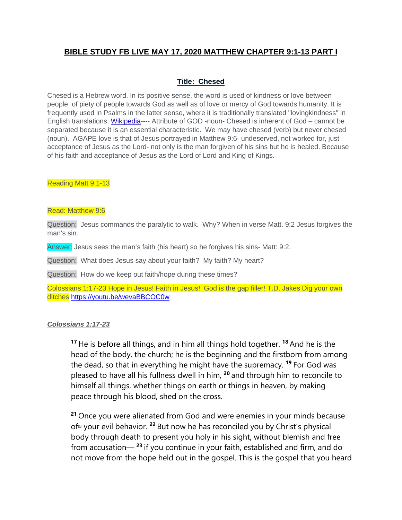# **BIBLE STUDY FB LIVE MAY 17, 2020 MATTHEW CHAPTER 9:1-13 PART I**

### **Title: Chesed**

Chesed is a Hebrew word. In its positive sense, the word is used of kindness or love between people, of piety of people towards God as well as of love or mercy of God towards humanity. It is frequently used in Psalms in the latter sense, where it is traditionally translated "lovingkindness" in English translations. [Wikipedia-](https://en.wikipedia.org/wiki/Chesed)--- Attribute of GOD -noun- Chesed is inherent of God – cannot be separated because it is an essential characteristic. We may have chesed (verb) but never chesed (noun). AGAPE love is that of Jesus portrayed in Matthew 9:6- undeserved, not worked for, just acceptance of Jesus as the Lord- not only is the man forgiven of his sins but he is healed. Because of his faith and acceptance of Jesus as the Lord of Lord and King of Kings.

#### Reading Matt 9:1-13

#### Read: Matthew 9:6

Question: Jesus commands the paralytic to walk. Why? When in verse Matt. 9:2 Jesus forgives the man's sin.

Answer: Jesus sees the man's faith (his heart) so he forgives his sins- Matt: 9:2.

Question: What does Jesus say about your faith? My faith? My heart?

Question: How do we keep out faith/hope during these times?

Colossians 1:17-23 Hope in Jesus! Faith in Jesus! God is the gap filler! T.D. Jakes Dig your own ditches <https://youtu.be/wevaBBCOC0w>

#### *Colossians 1:17-23*

**<sup>17</sup>** He is before all things, and in him all things hold together. **<sup>18</sup>** And he is the head of the body, the church; he is the beginning and the firstborn from among the dead, so that in everything he might have the supremacy. **<sup>19</sup>** For God was pleased to have all his fullness dwell in him, **<sup>20</sup>** and through him to reconcile to himself all things, whether things on earth or things in heaven, by making peace through his blood, shed on the cross.

**<sup>21</sup>** Once you were alienated from God and were enemies in your minds because o[f\[a\]](https://www.biblegateway.com/passage/?search=Colossians+1%3A17-23&version=NIV#fen-NIV-29487a) your evil behavior. **<sup>22</sup>** But now he has reconciled you by Christ's physical body through death to present you holy in his sight, without blemish and free from accusation— **<sup>23</sup>** if you continue in your faith, established and firm, and do not move from the hope held out in the gospel. This is the gospel that you heard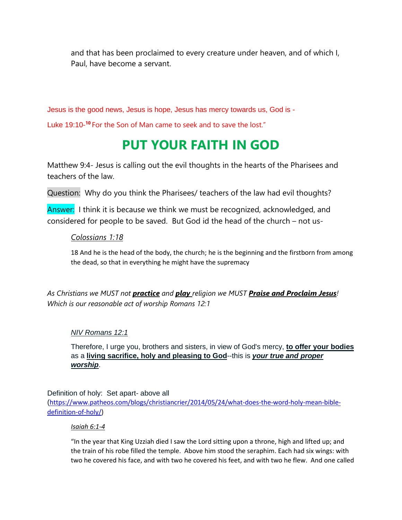and that has been proclaimed to every creature under heaven, and of which I, Paul, have become a servant.

Jesus is the good news, Jesus is hope, Jesus has mercy towards us, God is - Luke 19:10-<sup>10</sup> For the Son of Man came to seek and to save the lost."

# **PUT YOUR FAITH IN GOD**

Matthew 9:4- Jesus is calling out the evil thoughts in the hearts of the Pharisees and teachers of the law.

Question: Why do you think the Pharisees/ teachers of the law had evil thoughts?

Answer: I think it is because we think we must be recognized, acknowledged, and considered for people to be saved. But God id the head of the church – not us-

# *Colossians 1:18*

18 And he is the head of the body, the church; he is the beginning and the firstborn from among the dead, so that in everything he might have the supremacy

*As Christians we MUST not practice and play religion we MUST Praise and Proclaim Jesus! Which is our reasonable act of worship Romans 12:1*

# *NIV Romans 12:1*

Therefore, I urge you, brothers and sisters, in view of God's mercy, **to offer your bodies** as a **living sacrifice, holy and pleasing to God**--this is *your true and proper worship*.

Definition of holy: Set apart- above all

([https://www.patheos.com/blogs/christiancrier/2014/05/24/what-does-the-word-holy-mean-bible](https://www.patheos.com/blogs/christiancrier/2014/05/24/what-does-the-word-holy-mean-bible-definition-of-holy/)[definition-of-holy/\)](https://www.patheos.com/blogs/christiancrier/2014/05/24/what-does-the-word-holy-mean-bible-definition-of-holy/)

## *Isaiah 6:1-4*

"In the year that King Uzziah died I saw the Lord sitting upon a throne, high and lifted up; and the train of his robe filled the temple. Above him stood the seraphim. Each had six wings: with two he covered his face, and with two he covered his feet, and with two he flew. And one called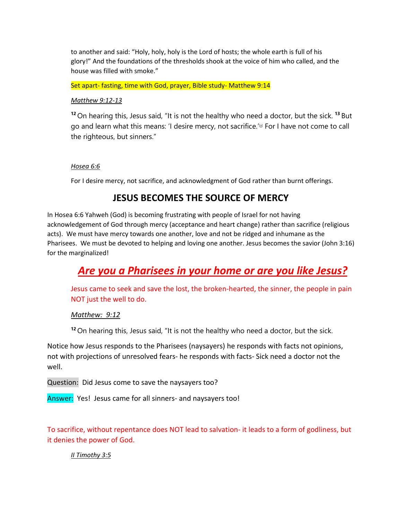to another and said: "Holy, holy, holy is the Lord of hosts; the whole earth is full of his glory!" And the foundations of the thresholds shook at the voice of him who called, and the house was filled with smoke."

Set apart- fasting, time with God, prayer, Bible study- Matthew 9:14

#### *Matthew 9:12-13*

**<sup>12</sup>** On hearing this, Jesus said, "It is not the healthy who need a doctor, but the sick. **<sup>13</sup>** But go and learn what this means: 'I desire mercy, not sacrifice.'<sup>[a]</sup> For I have not come to call the righteous, but sinners."

#### *Hosea 6:6*

For I desire mercy, not sacrifice, and acknowledgment of God rather than burnt offerings.

# **JESUS BECOMES THE SOURCE OF MERCY**

In Hosea 6:6 Yahweh (God) is becoming frustrating with people of Israel for not having acknowledgement of God through mercy (acceptance and heart change) rather than sacrifice (religious acts). We must have mercy towards one another, love and not be ridged and inhumane as the Pharisees. We must be devoted to helping and loving one another. Jesus becomes the savior (John 3:16) for the marginalized!

# *Are you a Pharisees in your home or are you like Jesus?*

Jesus came to seek and save the lost, the broken-hearted, the sinner, the people in pain NOT just the well to do.

#### *Matthew: 9:12*

**<sup>12</sup>** On hearing this, Jesus said, "It is not the healthy who need a doctor, but the sick.

Notice how Jesus responds to the Pharisees (naysayers) he responds with facts not opinions, not with projections of unresolved fears- he responds with facts- Sick need a doctor not the well.

Question: Did Jesus come to save the naysayers too?

Answer: Yes! Jesus came for all sinners- and naysayers too!

To sacrifice, without repentance does NOT lead to salvation- it leads to a form of godliness, but it denies the power of God.

#### *II Timothy 3:5*